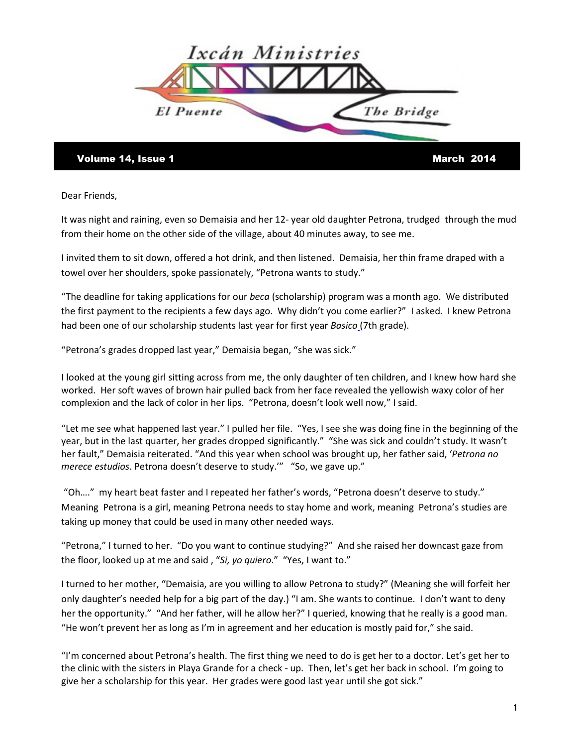

Volume 14, Issue 1 and 1 and 1 and 1 and 1 and 1 and 1 and 1 and 1 and 1 and 1 and 1 and 1 and 1 and 1 and 1 and 1 and 1 and 1 and 1 and 1 and 1 and 1 and 1 and 1 and 1 and 1 and 1 and 1 and 1 and 1 and 1 and 1 and 1 and 1

Dear Friends,

It was night and raining, even so Demaisia and her 12- year old daughter Petrona, trudged through the mud from their home on the other side of the village, about 40 minutes away, to see me.

I invited them to sit down, offered a hot drink, and then listened. Demaisia, her thin frame draped with a towel over her shoulders, spoke passionately, "Petrona wants to study."

"The deadline for taking applications for our *beca* (scholarship) program was a month ago. We distributed the first payment to the recipients a few days ago. Why didn't you come earlier?" I asked. I knew Petrona had been one of our scholarship students last year for first year Basico (7th grade).

"Petrona's grades dropped last year," Demaisia began, "she was sick."

I looked at the young girl sitting across from me, the only daughter of ten children, and I knew how hard she worked. Her soft waves of brown hair pulled back from her face revealed the yellowish waxy color of her complexion and the lack of color in her lips. "Petrona, doesn't look well now," I said.

"Let me see what happened last year." I pulled her file. "Yes, I see she was doing fine in the beginning of the year, but in the last quarter, her grades dropped significantly." "She was sick and couldn't study. It wasn't her fault," Demaisia reiterated. "And this year when school was brought up, her father said, 'Petrona no merece estudios. Petrona doesn't deserve to study." "So, we gave up."

 "Oh…." my heart beat faster and I repeated her father's words, "Petrona doesn't deserve to study." Meaning Petrona is a girl, meaning Petrona needs to stay home and work, meaning Petrona's studies are taking up money that could be used in many other needed ways.

"Petrona," I turned to her. "Do you want to continue studying?" And she raised her downcast gaze from the floor, looked up at me and said, "Si, yo quiero." "Yes, I want to."

I turned to her mother, "Demaisia, are you willing to allow Petrona to study?" (Meaning she will forfeit her only daughter's needed help for a big part of the day.) "I am. She wants to continue. I don't want to deny her the opportunity." "And her father, will he allow her?" I queried, knowing that he really is a good man. "He won't prevent her as long as I'm in agreement and her education is mostly paid for," she said.

"I'm concerned about Petrona's health. The first thing we need to do is get her to a doctor. Let's get her to the clinic with the sisters in Playa Grande for a check - up. Then, let's get her back in school. I'm going to give her a scholarship for this year. Her grades were good last year until she got sick."